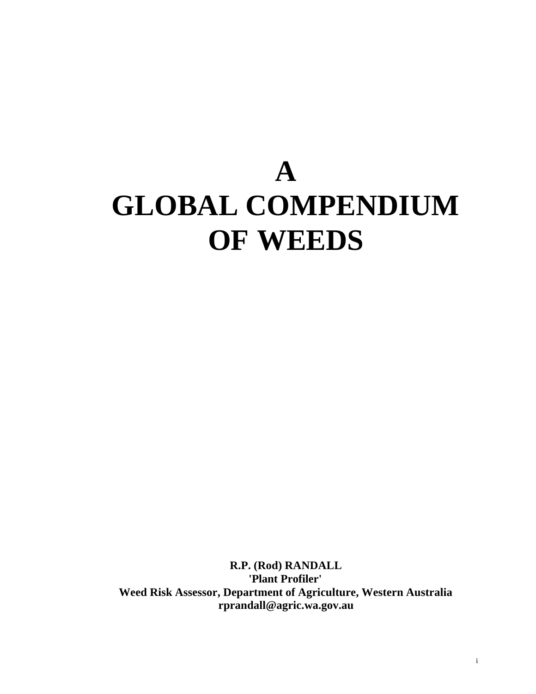# **A GLOBAL COMPENDIUM OF WEEDS**

**R.P. (Rod) RANDALL 'Plant Profiler' Weed Risk Assessor, Department of Agriculture, Western Australia rprandall@agric.wa.gov.au**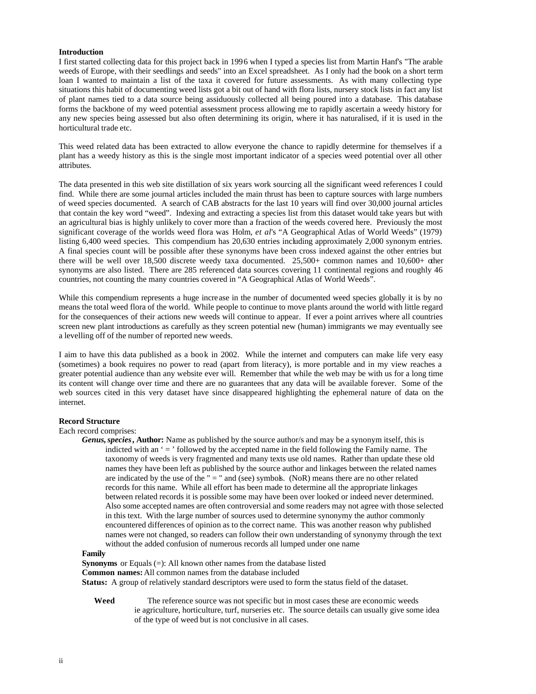### **Introduction**

I first started collecting data for this project back in 1996 when I typed a species list from Martin Hanf's "The arable weeds of Europe, with their seedlings and seeds" into an Excel spreadsheet. As I only had the book on a short term loan I wanted to maintain a list of the taxa it covered for future assessments. As with many collecting type situations this habit of documenting weed lists got a bit out of hand with flora lists, nursery stock lists in fact any list of plant names tied to a data source being assiduously collected all being poured into a database. This database forms the backbone of my weed potential assessment process allowing me to rapidly ascertain a weedy history for any new species being assessed but also often determining its origin, where it has naturalised, if it is used in the horticultural trade etc.

This weed related data has been extracted to allow everyone the chance to rapidly determine for themselves if a plant has a weedy history as this is the single most important indicator of a species weed potential over all other attributes.

The data presented in this web site distillation of six years work sourcing all the significant weed references I could find. While there are some journal articles included the main thrust has been to capture sources with large numbers of weed species documented. A search of CAB abstracts for the last 10 years will find over 30,000 journal articles that contain the key word "weed". Indexing and extracting a species list from this dataset would take years but with an agricultural bias is highly unlikely to cover more than a fraction of the weeds covered here. Previously the most significant coverage of the worlds weed flora was Holm, *et al*'s "A Geographical Atlas of World Weeds" (1979) listing 6,400 weed species. This compendium has 20,630 entries including approximately 2,000 synonym entries. A final species count will be possible after these synonyms have been cross indexed against the other entries but there will be well over 18,500 discrete weedy taxa documented. 25,500+ common names and 10,600+ other synonyms are also listed. There are 285 referenced data sources covering 11 continental regions and roughly 46 countries, not counting the many countries covered in "A Geographical Atlas of World Weeds".

While this compendium represents a huge increase in the number of documented weed species globally it is by no means the total weed flora of the world. While people to continue to move plants around the world with little regard for the consequences of their actions new weeds will continue to appear. If ever a point arrives where all countries screen new plant introductions as carefully as they screen potential new (human) immigrants we may eventually see a levelling off of the number of reported new weeds.

I aim to have this data published as a book in 2002. While the internet and computers can make life very easy (sometimes) a book requires no power to read (apart from literacy), is more portable and in my view reaches a greater potential audience than any website ever will. Remember that while the web may be with us for a long time its content will change over time and there are no guarantees that any data will be available forever. Some of the web sources cited in this very dataset have since disappeared highlighting the ephemeral nature of data on the internet.

#### **Record Structure**

#### Each record comprises:

*Genus, species***, Author:** Name as published by the source author/s and may be a synonym itself, this is indicted with an  $\epsilon$  =  $\epsilon$  followed by the accepted name in the field following the Family name. The taxonomy of weeds is very fragmented and many texts use old names. Rather than update these old names they have been left as published by the source author and linkages between the related names are indicated by the use of the " = " and (see) symbols. (NoR) means there are no other related records for this name. While all effort has been made to determine all the appropriate linkages between related records it is possible some may have been over looked or indeed never determined. Also some accepted names are often controversial and some readers may not agree with those selected in this text. With the large number of sources used to determine synonymy the author commonly encountered differences of opinion as to the correct name. This was another reason why published names were not changed, so readers can follow their own understanding of synonymy through the text without the added confusion of numerous records all lumped under one name

#### **Family**

**Synonyms** or Equals (=): All known other names from the database listed **Common names:** All common names from the database included **Status:** A group of relatively standard descriptors were used to form the status field of the dataset.

**Weed** The reference source was not specific but in most cases these are economic weeds ie agriculture, horticulture, turf, nurseries etc. The source details can usually give some idea of the type of weed but is not conclusive in all cases.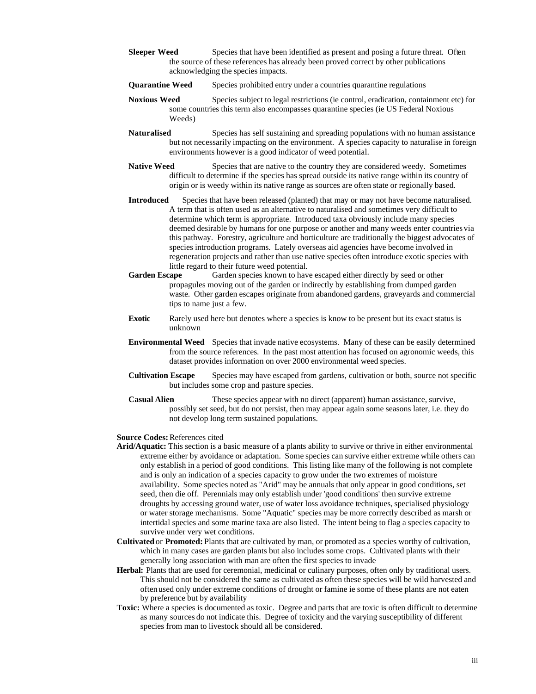- **Sleeper Weed** Species that have been identified as present and posing a future threat. Often the source of these references has already been proved correct by other publications acknowledging the species impacts.
- **Quarantine Weed** Species prohibited entry under a countries quarantine regulations
- **Noxious Weed** Species subject to legal restrictions (ie control, eradication, containment etc) for some countries this term also encompasses quarantine species (ie US Federal Noxious Weeds)

**Naturalised** Species has self sustaining and spreading populations with no human assistance but not necessarily impacting on the environment. A species capacity to naturalise in foreign environments however is a good indicator of weed potential.

- **Native Weed** Species that are native to the country they are considered weedy. Sometimes difficult to determine if the species has spread outside its native range within its country of origin or is weedy within its native range as sources are often state or regionally based.
- **Introduced** Species that have been released (planted) that may or may not have become naturalised. A term that is often used as an alternative to naturalised and sometimes very difficult to determine which term is appropriate. Introduced taxa obviously include many species deemed desirable by humans for one purpose or another and many weeds enter countries via this pathway. Forestry, agriculture and horticulture are traditionally the biggest advocates of species introduction programs. Lately overseas aid agencies have become involved in regeneration projects and rather than use native species often introduce exotic species with little regard to their future weed potential.<br>Garden Escape Garden species known to have
- Garden species known to have escaped either directly by seed or other propagules moving out of the garden or indirectly by establishing from dumped garden waste. Other garden escapes originate from abandoned gardens, graveyards and commercial tips to name just a few.
- **Exotic** Rarely used here but denotes where a species is know to be present but its exact status is unknown
- **Environmental Weed** Species that invade native ecosystems. Many of these can be easily determined from the source references. In the past most attention has focused on agronomic weeds, this dataset provides information on over 2000 environmental weed species.
- **Cultivation Escape** Species may have escaped from gardens, cultivation or both, source not specific but includes some crop and pasture species.
- **Casual Alien** These species appear with no direct (apparent) human assistance, survive, possibly set seed, but do not persist, then may appear again some seasons later, i.e. they do not develop long term sustained populations.

#### **Source Codes:** References cited

- **Arid/Aquatic:** This section is a basic measure of a plants ability to survive or thrive in either environmental extreme either by avoidance or adaptation. Some species can survive either extreme while others can only establish in a period of good conditions. This listing like many of the following is not complete and is only an indication of a species capacity to grow under the two extremes of moisture availability. Some species noted as "Arid" may be annuals that only appear in good conditions, set seed, then die off. Perennials may only establish under 'good conditions' then survive extreme droughts by accessing ground water, use of water loss avoidance techniques, specialised physiology or water storage mechanisms. Some "Aquatic" species may be more correctly described as marsh or intertidal species and some marine taxa are also listed. The intent being to flag a species capacity to survive under very wet conditions.
- **Cultivated** or **Promoted:** Plants that are cultivated by man, or promoted as a species worthy of cultivation, which in many cases are garden plants but also includes some crops. Cultivated plants with their generally long association with man are often the first species to invade
- **Herbal:** Plants that are used for ceremonial, medicinal or culinary purposes, often only by traditional users. This should not be considered the same as cultivated as often these species will be wild harvested and often used only under extreme conditions of drought or famine ie some of these plants are not eaten by preference but by availability
- **Toxic:** Where a species is documented as toxic. Degree and parts that are toxic is often difficult to determine as many sources do not indicate this. Degree of toxicity and the varying susceptibility of different species from man to livestock should all be considered.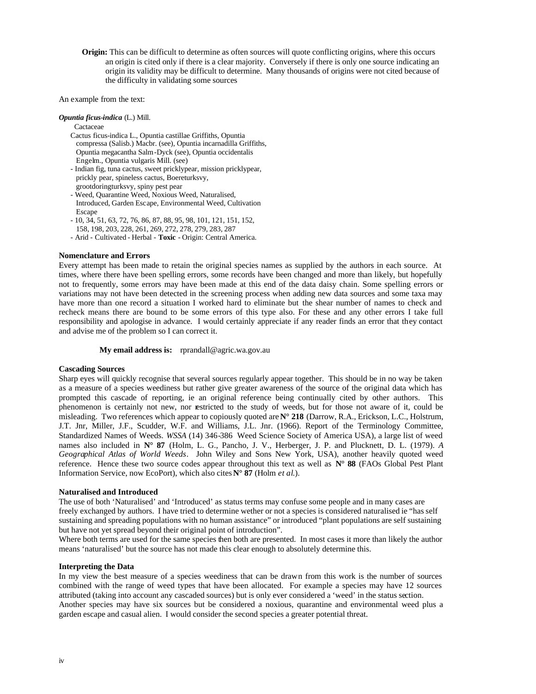**Origin:** This can be difficult to determine as often sources will quote conflicting origins, where this occurs an origin is cited only if there is a clear majority. Conversely if there is only one source indicating an origin its validity may be difficult to determine. Many thousands of origins were not cited because of the difficulty in validating some sources

An example from the text:

*Opuntia ficus-indica* (L.) Mill.

**Cactaceae** 

- Cactus ficus-indica L., Opuntia castillae Griffiths, Opuntia compressa (Salisb.) Macbr. (see), Opuntia incarnadilla Griffiths, Opuntia megacantha Salm-Dyck (see), Opuntia occidentalis Engelm., Opuntia vulgaris Mill. (see)
- Indian fig, tuna cactus, sweet pricklypear, mission pricklypear, prickly pear, spineless cactus, Boereturksvy, grootdoringturksvy, spiny pest pear
- Weed, Quarantine Weed, Noxious Weed, Naturalised, Introduced, Garden Escape, Environmental Weed, Cultivation **Escape**
- 10, 34, 51, 63, 72, 76, 86, 87, 88, 95, 98, 101, 121, 151, 152, 158, 198, 203, 228, 261, 269, 272, 278, 279, 283, 287
- Arid Cultivated Herbal **Toxic** Origin: Central America.

### **Nomenclature and Errors**

Every attempt has been made to retain the original species names as supplied by the authors in each source. At times, where there have been spelling errors, some records have been changed and more than likely, but hopefully not to frequently, some errors may have been made at this end of the data daisy chain. Some spelling errors or variations may not have been detected in the screening process when adding new data sources and some taxa may have more than one record a situation I worked hard to eliminate but the shear number of names to check and recheck means there are bound to be some errors of this type also. For these and any other errors I take full responsibility and apologise in advance. I would certainly appreciate if any reader finds an error that they contact and advise me of the problem so I can correct it.

**My email address is:** rprandall@agric.wa.gov.au

# **Cascading Sources**

Sharp eyes will quickly recognise that several sources regularly appear together. This should be in no way be taken as a measure of a species weediness but rather give greater awareness of the source of the original data which has prompted this cascade of reporting, ie an original reference being continually cited by other authors. This phenomenon is certainly not new, nor restricted to the study of weeds, but for those not aware of it, could be misleading. Two references which appear to copiously quoted are **N° 218** (Darrow, R.A., Erickson, L.C., Holstrum, J.T. Jnr, Miller, J.F., Scudder, W.F. and Williams, J.L. Jnr. (1966). Report of the Terminology Committee, Standardized Names of Weeds. *WSSA* (14) 346-386 Weed Science Society of America USA), a large list of weed names also included in **N° 87** (Holm, L. G., Pancho, J. V., Herberger, J. P. and Plucknett, D. L. (1979). *A Geographical Atlas of World Weeds*. John Wiley and Sons New York, USA), another heavily quoted weed reference. Hence these two source codes appear throughout this text as well as **N° 88** (FAOs Global Pest Plant Information Service, now EcoPort), which also cites **N° 87** (Holm *et al*.).

# **Naturalised and Introduced**

The use of both 'Naturalised' and 'Introduced' as status terms may confuse some people and in many cases are freely exchanged by authors. I have tried to determine wether or not a species is considered naturalised ie "has self sustaining and spreading populations with no human assistance" or introduced "plant populations are self sustaining but have not yet spread beyond their original point of introduction".

Where both terms are used for the same species then both are presented. In most cases it more than likely the author means 'naturalised' but the source has not made this clear enough to absolutely determine this.

### **Interpreting the Data**

In my view the best measure of a species weediness that can be drawn from this work is the number of sources combined with the range of weed types that have been allocated. For example a species may have 12 sources attributed (taking into account any cascaded sources) but is only ever considered a 'weed' in the status section. Another species may have six sources but be considered a noxious, quarantine and environmental weed plus a garden escape and casual alien. I would consider the second species a greater potential threat.